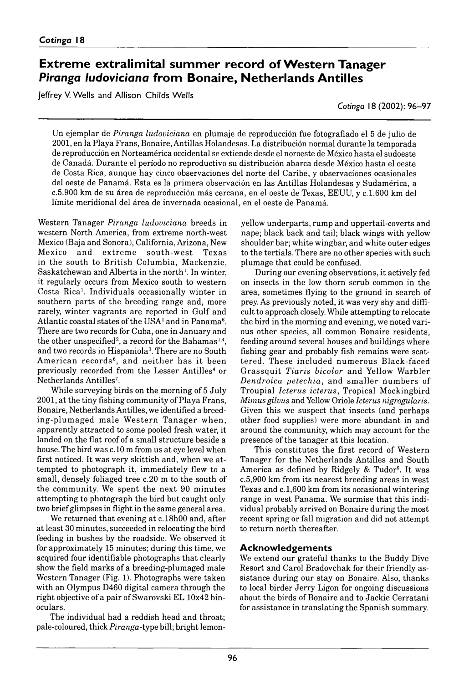## **Extreme extralimital summer record of Western Tanager Piranga ludoviciana from Bonaire, Netherlands Antilles**

Jeffrey V. Wells and Allison Childs Wells

*Cotinga* 18 (2002): 96–97

Un ejemplar de *Piranga ludoviciana* en plumaje de reproducción fue fotografiado el 5 de julio de 2001, en la Playa Frans, Bonaire, Antillas Holandesas. La distribución normal durante la temporada de reproducción en Norteamérica occidental se extiende desde el noroeste de México hasta el sudoeste de Canadá. Durante el período no reproductivo su distribución abarca desde México hasta el oeste de Costa Rica, aunque hay cinco observaciones del norte del Caribe, y observaciones ocasionales del oeste de Panamá. Esta es la primera observación en las Antillas Holandesas y Sudamérica, a *c.* 5900 km de su área de reproducción más cercana, en el oeste de Texas, EEUU, y *c.* 1600 km del límite meridional del área de invernada ocasional, en el oeste de Panamá.

Western Tanager *Piranga ludoviciana* breeds in western North America, from extreme north-west Mexico (Baja and Sonora), California, Arizona, New Mexico and extreme south-west Texas in the south to British Columbia, Mackenzie, Saskatchewan and Alberta in the north<sup>1</sup>. In winter, it regularly occurs from Mexico south to western Costa Rica<sup>1</sup>. Individuals occasionally winter in southern parts of the breeding range and, more rarely, winter vagrants are reported in Gulf and Atlantic coastal states of the USA<sup>1</sup> and in Panama<sup>6</sup>. There are two records for Cuba, one in January and the other unspecified<sup>2</sup>, a record for the Bahamas<sup>1,4</sup>, and two records in Hispaniola<sup>3</sup>. There are no South American records<sup>6</sup>, and neither has it been previously recorded from the Lesser Antilles<sup>4</sup> or Netherlands Antilles<sup>7</sup>.

While surveying birds on the morning of 5 July 2001, at the tiny fishing community of Playa Frans, Bonaire, Netherlands Antilles, we identified a breeding-plumaged male Western Tanager when, apparently attracted to some pooled fresh water, it landed on the flat roof of a small structure beside a house. The bird was *c.* 10 m from us at eye level when first noticed. It was very skittish and, when we attempted to photograph it, immediately flew to a small, densely foliaged tree c.20 m to the south of the community. We spent the next 90 minutes attempting to photograph the bird but caught only two brief glimpses in flight in the same general area.

We returned that evening at c.18h00 and, after at least 30 minutes, succeeded in relocating the bird feeding in bushes by the roadside. We observed it for approximately 15 minutes; during this time, we acquired four identifiable photographs that clearly show the field marks of a breeding-plumaged male Western Tanager (Fig. 1). Photographs were taken with an Olympus D460 digital camera through the right objective of a pair of Swarovski EL 10×42 binoculars.

The individual had a reddish head and throat; pale-coloured, thick *Piranga-*type bill; bright lemonyellow underparts, rump and uppertail-coverts and nape; black back and tail; black wings with yellow shoulder bar; white wingbar, and white outer edges to the tertials. There are no other species with such plumage that could be confused.

During our evening observations, it actively fed on insects in the low thorn scrub common in the area, sometimes flying to the ground in search of prey. As previously noted, it was very shy and difficult to approach closely. While attempting to relocate the bird in the morning and evening, we noted various other species, all common Bonaire residents, feeding around several houses and buildings where fishing gear and probably fish remains were scattered. These included numerous Black-faced Grassquit *Tiaris bicolor* and Yellow Warbler *D endroica p etech ia* , and sm aller num bers of Troupial *Icterus icterus*, Tropical Mockingbird *Mimus gilvus* and Yellow Oriole *Icterus nigrogularis.* Given this we suspect that insects (and perhaps other food supplies) were more abundant in and around the community, which may account for the presence of the tanager at this location.

This constitutes the first record of Western Tanager for the Netherlands Antilles and South America as defined by Ridgely & Tudor<sup>6</sup>. It was c. 5,900 km from its nearest breeding areas in west Texas and c.1,600 km from its occasional wintering range in west Panama. We surmise that this individual probably arrived on Bonaire during the most recent spring or fall migration and did not attempt to return north thereafter.

#### **Acknowledgements**

We extend our grateful thanks to the Buddy Dive Resort and Carol Bradovchak for their friendly assistance during our stay on Bonaire. Also, thanks to local birder Jerry Ligon for ongoing discussions about the birds of Bonaire and to Jackie Cerratani for assistance in translating the Spanish summary.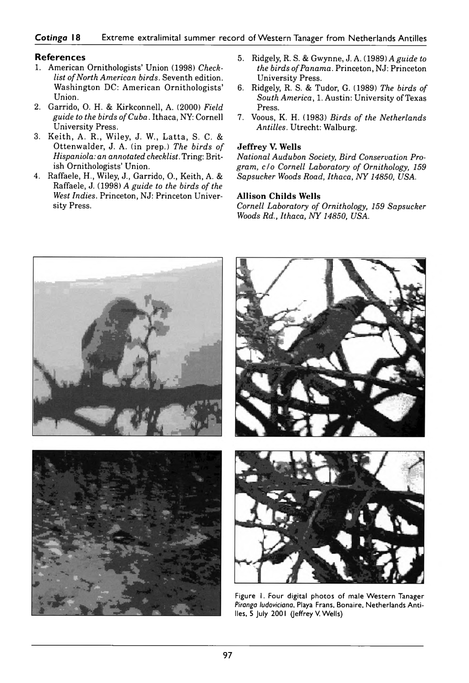#### **Cotinga 18** Extreme extralimital summer record of Western Tanager from Netherlands Antilles

#### **References**

- 1. American Ornithologists' Union (1998) *Checklist of North American birds.* Seventh edition. Washington DC: American Ornithologists' Union.
- 2. Garrido, O. H. & Kirkconnell, A. (2000) *Field guide to the birds of Cuba.* Ithaca, NY: Cornell University Press.
- 3. Keith, A. R., Wiley, J. W., Latta, S. C. & O ttenw alder, J. A. ( in prep.) *The birds of Hispaniola: an annotated checklist.* Tring: British Ornithologists' Union.
- 4. Raffaele, H., Wiley, J., Garrido, O., Keith, A. & Raffaele, J. (1998) *A guide to the birds of the West Indies.* Princeton, NJ: Princeton University Press.
- 5. Ridgely, R. S. & Gwynne, J. A. (1989) *A guide to the birds of Panama.* Princeton, NJ: Princeton University Press.
- 6. Ridgely, R. S. & Tudor, G. ( 1989) *The birds of South America*, 1. Austin: University of Texas Press.
- 7. Voous, K. H. ( 1983) *Birds of the Netherlands Antilles.* Utrecht: Walburg.

#### **Jeffrey V. Wells**

*National Audubon Society, Bird Conservation Program, c /o Cornell Laboratory of Ornithology, 159* Sapsucker Woods Road, Ithaca, NY 14850, USA.

#### **Allison Childs Wells**

*Cornell Laboratory of Ornithology, 159 Sapsucker Woods Rd., Ithaca, NY 14850, USA.*